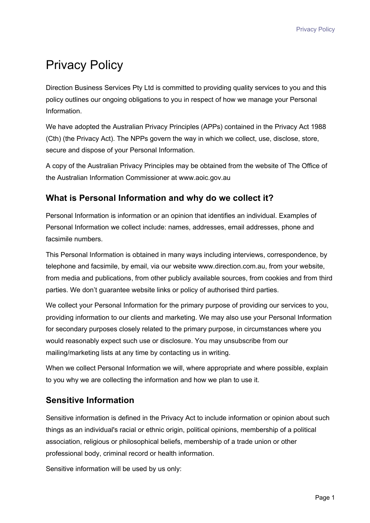# Privacy Policy

Direction Business Services Pty Ltd is committed to providing quality services to you and this policy outlines our ongoing obligations to you in respect of how we manage your Personal Information.

We have adopted the Australian Privacy Principles (APPs) contained in the Privacy Act 1988 (Cth) (the Privacy Act). The NPPs govern the way in which we collect, use, disclose, store, secure and dispose of your Personal Information.

A copy of the Australian Privacy Principles may be obtained from the website of The Office of the Australian Information Commissioner at www.aoic.gov.au

# **What is Personal Information and why do we collect it?**

Personal Information is information or an opinion that identifies an individual. Examples of Personal Information we collect include: names, addresses, email addresses, phone and facsimile numbers.

This Personal Information is obtained in many ways including interviews, correspondence, by telephone and facsimile, by email, via our website www.direction.com.au, from your website, from media and publications, from other publicly available sources, from cookies and from third parties. We don't guarantee website links or policy of authorised third parties.

We collect your Personal Information for the primary purpose of providing our services to you, providing information to our clients and marketing. We may also use your Personal Information for secondary purposes closely related to the primary purpose, in circumstances where you would reasonably expect such use or disclosure. You may unsubscribe from our mailing/marketing lists at any time by contacting us in writing.

When we collect Personal Information we will, where appropriate and where possible, explain to you why we are collecting the information and how we plan to use it.

# **Sensitive Information**

Sensitive information is defined in the Privacy Act to include information or opinion about such things as an individual's racial or ethnic origin, political opinions, membership of a political association, religious or philosophical beliefs, membership of a trade union or other professional body, criminal record or health information.

Sensitive information will be used by us only: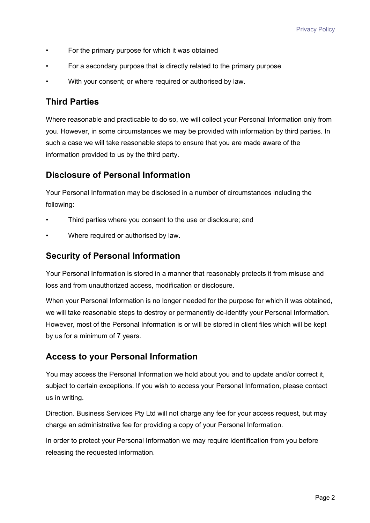- For the primary purpose for which it was obtained
- For a secondary purpose that is directly related to the primary purpose
- With your consent; or where required or authorised by law.

### **Third Parties**

Where reasonable and practicable to do so, we will collect your Personal Information only from you. However, in some circumstances we may be provided with information by third parties. In such a case we will take reasonable steps to ensure that you are made aware of the information provided to us by the third party.

#### **Disclosure of Personal Information**

Your Personal Information may be disclosed in a number of circumstances including the following:

- Third parties where you consent to the use or disclosure; and
- Where required or authorised by law.

#### **Security of Personal Information**

Your Personal Information is stored in a manner that reasonably protects it from misuse and loss and from unauthorized access, modification or disclosure.

When your Personal Information is no longer needed for the purpose for which it was obtained, we will take reasonable steps to destroy or permanently de-identify your Personal Information. However, most of the Personal Information is or will be stored in client files which will be kept by us for a minimum of 7 years.

## **Access to your Personal Information**

You may access the Personal Information we hold about you and to update and/or correct it, subject to certain exceptions. If you wish to access your Personal Information, please contact us in writing.

Direction. Business Services Pty Ltd will not charge any fee for your access request, but may charge an administrative fee for providing a copy of your Personal Information.

In order to protect your Personal Information we may require identification from you before releasing the requested information.